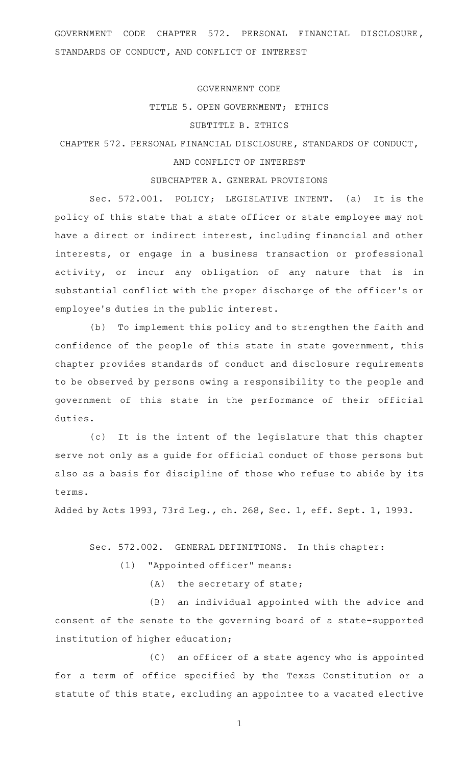GOVERNMENT CODE CHAPTER 572. PERSONAL FINANCIAL DISCLOSURE, STANDARDS OF CONDUCT, AND CONFLICT OF INTEREST

#### GOVERNMENT CODE

#### TITLE 5. OPEN GOVERNMENT; ETHICS

## SUBTITLE B. ETHICS

# CHAPTER 572. PERSONAL FINANCIAL DISCLOSURE, STANDARDS OF CONDUCT,

# AND CONFLICT OF INTEREST

## SUBCHAPTER A. GENERAL PROVISIONS

Sec. 572.001. POLICY; LEGISLATIVE INTENT. (a) It is the policy of this state that a state officer or state employee may not have a direct or indirect interest, including financial and other interests, or engage in a business transaction or professional activity, or incur any obligation of any nature that is in substantial conflict with the proper discharge of the officer 's or employee 's duties in the public interest.

(b) To implement this policy and to strengthen the faith and confidence of the people of this state in state government, this chapter provides standards of conduct and disclosure requirements to be observed by persons owing a responsibility to the people and government of this state in the performance of their official duties.

(c) It is the intent of the legislature that this chapter serve not only as a guide for official conduct of those persons but also as a basis for discipline of those who refuse to abide by its terms.

Added by Acts 1993, 73rd Leg., ch. 268, Sec. 1, eff. Sept. 1, 1993.

Sec. 572.002. GENERAL DEFINITIONS. In this chapter:

(1) "Appointed officer" means:

 $(A)$  the secretary of state;

(B) an individual appointed with the advice and consent of the senate to the governing board of a state-supported institution of higher education;

(C) an officer of a state agency who is appointed for a term of office specified by the Texas Constitution or a statute of this state, excluding an appointee to a vacated elective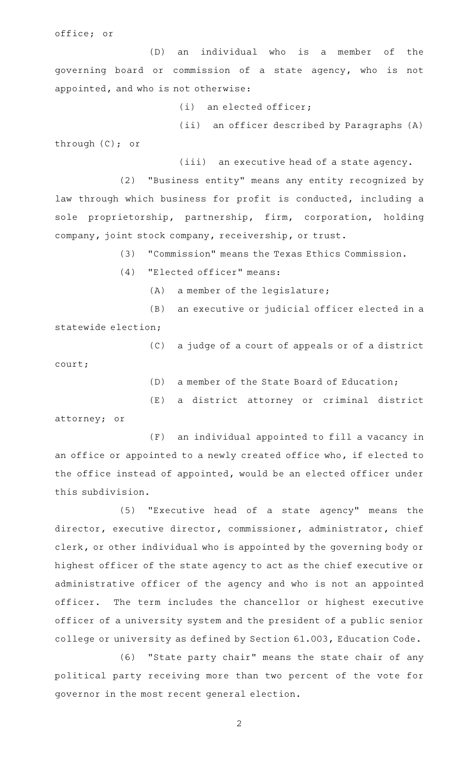office; or

(D) an individual who is a member of the governing board or commission of a state agency, who is not appointed, and who is not otherwise:

 $(i)$  an elected officer;

(ii) an officer described by Paragraphs (A) through (C); or

(iii) an executive head of a state agency.

(2) "Business entity" means any entity recognized by law through which business for profit is conducted, including a sole proprietorship, partnership, firm, corporation, holding company, joint stock company, receivership, or trust.

(3) "Commission" means the Texas Ethics Commission.

 $(4)$  "Elected officer" means:

 $(A)$  a member of the legislature;

(B) an executive or judicial officer elected in a statewide election;

- (C) a judge of a court of appeals or of a district court;
	- (D) a member of the State Board of Education;

(E) a district attorney or criminal district

attorney; or

(F) an individual appointed to fill a vacancy in an office or appointed to a newly created office who, if elected to the office instead of appointed, would be an elected officer under this subdivision.

(5) "Executive head of a state agency" means the director, executive director, commissioner, administrator, chief clerk, or other individual who is appointed by the governing body or highest officer of the state agency to act as the chief executive or administrative officer of the agency and who is not an appointed officer. The term includes the chancellor or highest executive officer of a university system and the president of a public senior college or university as defined by Section 61.003, Education Code.

(6) "State party chair" means the state chair of any political party receiving more than two percent of the vote for governor in the most recent general election.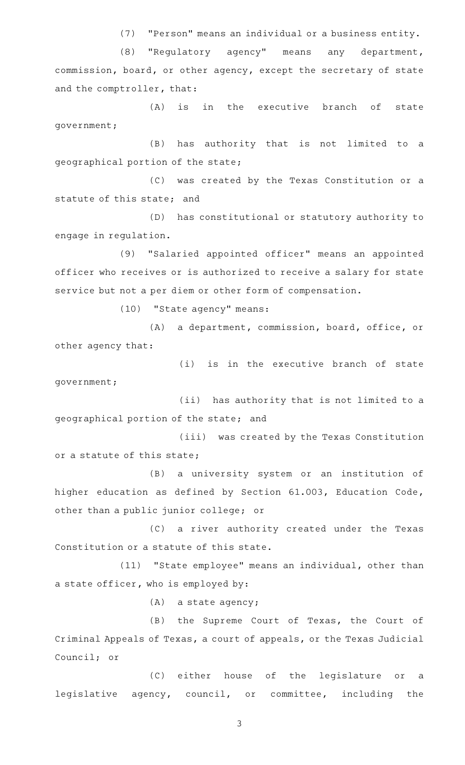(7) "Person" means an individual or a business entity.

(8) "Regulatory agency" means any department, commission, board, or other agency, except the secretary of state and the comptroller, that:

(A) is in the executive branch of state government;

(B) has authority that is not limited to a geographical portion of the state;

(C) was created by the Texas Constitution or a statute of this state; and

(D) has constitutional or statutory authority to engage in regulation.

(9) "Salaried appointed officer" means an appointed officer who receives or is authorized to receive a salary for state service but not a per diem or other form of compensation.

(10) "State agency" means:

(A) a department, commission, board, office, or other agency that:

(i) is in the executive branch of state government;

(ii) has authority that is not limited to a geographical portion of the state; and

(iii) was created by the Texas Constitution or a statute of this state;

(B) a university system or an institution of higher education as defined by Section 61.003, Education Code, other than a public junior college; or

(C) a river authority created under the Texas Constitution or a statute of this state.

(11) "State employee" means an individual, other than a state officer, who is employed by:

 $(A)$  a state agency;

(B) the Supreme Court of Texas, the Court of Criminal Appeals of Texas, a court of appeals, or the Texas Judicial Council; or

(C) either house of the legislature or a legislative agency, council, or committee, including the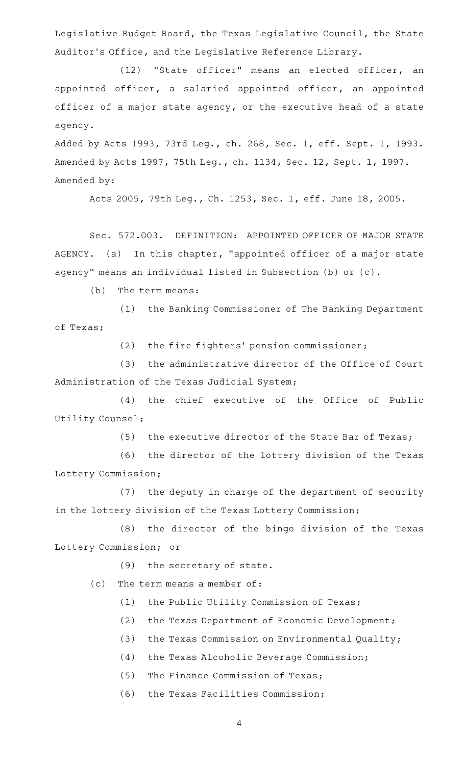Legislative Budget Board, the Texas Legislative Council, the State Auditor 's Office, and the Legislative Reference Library.

(12) "State officer" means an elected officer, an appointed officer, a salaried appointed officer, an appointed officer of a major state agency, or the executive head of a state agency.

Added by Acts 1993, 73rd Leg., ch. 268, Sec. 1, eff. Sept. 1, 1993. Amended by Acts 1997, 75th Leg., ch. 1134, Sec. 12, Sept. 1, 1997. Amended by:

Acts 2005, 79th Leg., Ch. 1253, Sec. 1, eff. June 18, 2005.

Sec. 572.003. DEFINITION: APPOINTED OFFICER OF MAJOR STATE AGENCY. (a) In this chapter, "appointed officer of a major state agency" means an individual listed in Subsection (b) or (c).

 $(b)$  The term means:

(1) the Banking Commissioner of The Banking Department of Texas;

(2) the fire fighters' pension commissioner;

(3) the administrative director of the Office of Court Administration of the Texas Judicial System;

(4) the chief executive of the Office of Public Utility Counsel;

(5) the executive director of the State Bar of Texas;

(6) the director of the lottery division of the Texas Lottery Commission;

(7) the deputy in charge of the department of security in the lottery division of the Texas Lottery Commission;

(8) the director of the bingo division of the Texas Lottery Commission; or

 $(9)$  the secretary of state.

(c) The term means a member of:

- (1) the Public Utility Commission of Texas;
- (2) the Texas Department of Economic Development;
- (3) the Texas Commission on Environmental Quality;
- (4) the Texas Alcoholic Beverage Commission;
- $(5)$  The Finance Commission of Texas;
- (6) the Texas Facilities Commission;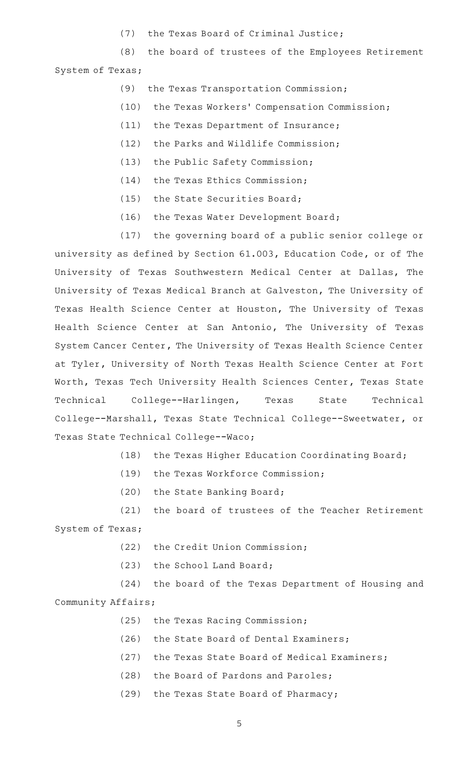(7) the Texas Board of Criminal Justice;

(8) the board of trustees of the Employees Retirement System of Texas;

- (9) the Texas Transportation Commission;
- (10) the Texas Workers' Compensation Commission;
- (11) the Texas Department of Insurance;
- (12) the Parks and Wildlife Commission;
- (13) the Public Safety Commission;
- (14) the Texas Ethics Commission;
- $(15)$  the State Securities Board;
- (16) the Texas Water Development Board;

(17) the governing board of a public senior college or university as defined by Section 61.003, Education Code, or of The University of Texas Southwestern Medical Center at Dallas, The University of Texas Medical Branch at Galveston, The University of Texas Health Science Center at Houston, The University of Texas Health Science Center at San Antonio, The University of Texas System Cancer Center, The University of Texas Health Science Center at Tyler, University of North Texas Health Science Center at Fort Worth, Texas Tech University Health Sciences Center, Texas State Technical College--Harlingen, Texas State Technical College--Marshall, Texas State Technical College--Sweetwater, or Texas State Technical College--Waco;

(18) the Texas Higher Education Coordinating Board;

- (19) the Texas Workforce Commission;
- (20) the State Banking Board;

 $(21)$  the board of trustees of the Teacher Retirement System of Texas;

(22) the Credit Union Commission;

(23) the School Land Board;

(24) the board of the Texas Department of Housing and Community Affairs;

- (25) the Texas Racing Commission;
- (26) the State Board of Dental Examiners;
- (27) the Texas State Board of Medical Examiners;
- (28) the Board of Pardons and Paroles;
- (29) the Texas State Board of Pharmacy;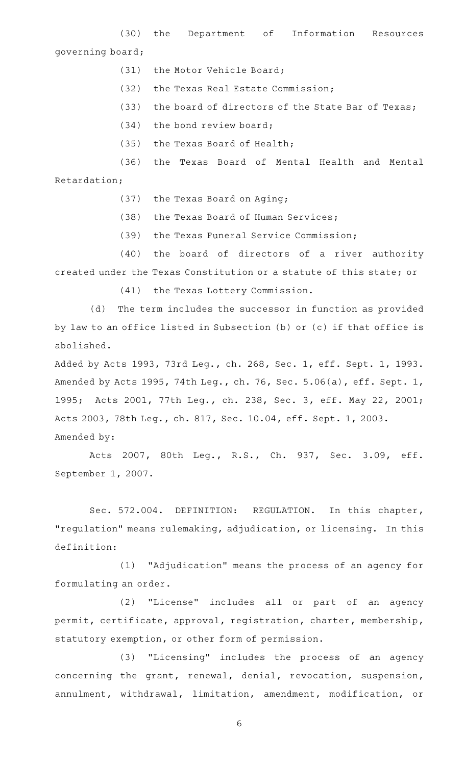(30) the Department of Information Resources governing board;

- (31) the Motor Vehicle Board;
- (32) the Texas Real Estate Commission;
- (33) the board of directors of the State Bar of Texas;
- $(34)$  the bond review board;
- (35) the Texas Board of Health;

(36) the Texas Board of Mental Health and Mental

Retardation;

- (37) the Texas Board on Aging;
- (38) the Texas Board of Human Services;
- (39) the Texas Funeral Service Commission;

(40) the board of directors of a river authority created under the Texas Constitution or a statute of this state; or

(41) the Texas Lottery Commission.

(d) The term includes the successor in function as provided by law to an office listed in Subsection (b) or (c) if that office is abolished.

Added by Acts 1993, 73rd Leg., ch. 268, Sec. 1, eff. Sept. 1, 1993. Amended by Acts 1995, 74th Leg., ch. 76, Sec. 5.06(a), eff. Sept. 1, 1995; Acts 2001, 77th Leg., ch. 238, Sec. 3, eff. May 22, 2001; Acts 2003, 78th Leg., ch. 817, Sec. 10.04, eff. Sept. 1, 2003. Amended by:

Acts 2007, 80th Leg., R.S., Ch. 937, Sec. 3.09, eff. September 1, 2007.

Sec. 572.004. DEFINITION: REGULATION. In this chapter, "regulation" means rulemaking, adjudication, or licensing. In this definition:

(1) "Adjudication" means the process of an agency for formulating an order.

(2) "License" includes all or part of an agency permit, certificate, approval, registration, charter, membership, statutory exemption, or other form of permission.

(3) "Licensing" includes the process of an agency concerning the grant, renewal, denial, revocation, suspension, annulment, withdrawal, limitation, amendment, modification, or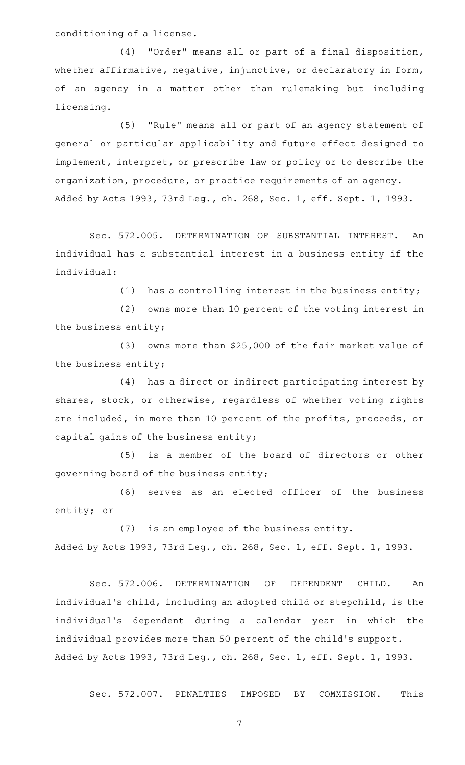conditioning of a license.

(4) "Order" means all or part of a final disposition, whether affirmative, negative, injunctive, or declaratory in form, of an agency in a matter other than rulemaking but including licensing.

(5) "Rule" means all or part of an agency statement of general or particular applicability and future effect designed to implement, interpret, or prescribe law or policy or to describe the organization, procedure, or practice requirements of an agency. Added by Acts 1993, 73rd Leg., ch. 268, Sec. 1, eff. Sept. 1, 1993.

Sec. 572.005. DETERMINATION OF SUBSTANTIAL INTEREST. An individual has a substantial interest in a business entity if the individual:

(1) has a controlling interest in the business entity;

(2) owns more than 10 percent of the voting interest in the business entity;

(3) owns more than  $$25,000$  of the fair market value of the business entity;

(4) has a direct or indirect participating interest by shares, stock, or otherwise, regardless of whether voting rights are included, in more than 10 percent of the profits, proceeds, or capital gains of the business entity;

(5) is a member of the board of directors or other governing board of the business entity;

(6) serves as an elected officer of the business entity; or

(7) is an employee of the business entity. Added by Acts 1993, 73rd Leg., ch. 268, Sec. 1, eff. Sept. 1, 1993.

Sec. 572.006. DETERMINATION OF DEPENDENT CHILD. An individual's child, including an adopted child or stepchild, is the individual 's dependent during a calendar year in which the individual provides more than 50 percent of the child 's support. Added by Acts 1993, 73rd Leg., ch. 268, Sec. 1, eff. Sept. 1, 1993.

Sec. 572.007. PENALTIES IMPOSED BY COMMISSION. This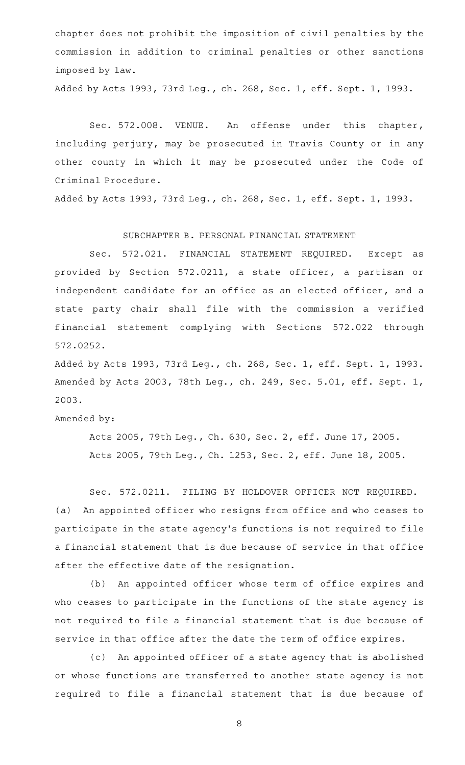chapter does not prohibit the imposition of civil penalties by the commission in addition to criminal penalties or other sanctions imposed by law.

Added by Acts 1993, 73rd Leg., ch. 268, Sec. 1, eff. Sept. 1, 1993.

Sec. 572.008. VENUE. An offense under this chapter, including perjury, may be prosecuted in Travis County or in any other county in which it may be prosecuted under the Code of Criminal Procedure.

Added by Acts 1993, 73rd Leg., ch. 268, Sec. 1, eff. Sept. 1, 1993.

SUBCHAPTER B. PERSONAL FINANCIAL STATEMENT

Sec. 572.021. FINANCIAL STATEMENT REQUIRED. Except as provided by Section 572.0211, a state officer, a partisan or independent candidate for an office as an elected officer, and a state party chair shall file with the commission a verified financial statement complying with Sections 572.022 through 572.0252.

Added by Acts 1993, 73rd Leg., ch. 268, Sec. 1, eff. Sept. 1, 1993. Amended by Acts 2003, 78th Leg., ch. 249, Sec. 5.01, eff. Sept. 1, 2003.

Amended by:

Acts 2005, 79th Leg., Ch. 630, Sec. 2, eff. June 17, 2005. Acts 2005, 79th Leg., Ch. 1253, Sec. 2, eff. June 18, 2005.

Sec. 572.0211. FILING BY HOLDOVER OFFICER NOT REQUIRED. (a) An appointed officer who resigns from office and who ceases to participate in the state agency 's functions is not required to file a financial statement that is due because of service in that office after the effective date of the resignation.

(b) An appointed officer whose term of office expires and who ceases to participate in the functions of the state agency is not required to file a financial statement that is due because of service in that office after the date the term of office expires.

(c) An appointed officer of a state agency that is abolished or whose functions are transferred to another state agency is not required to file a financial statement that is due because of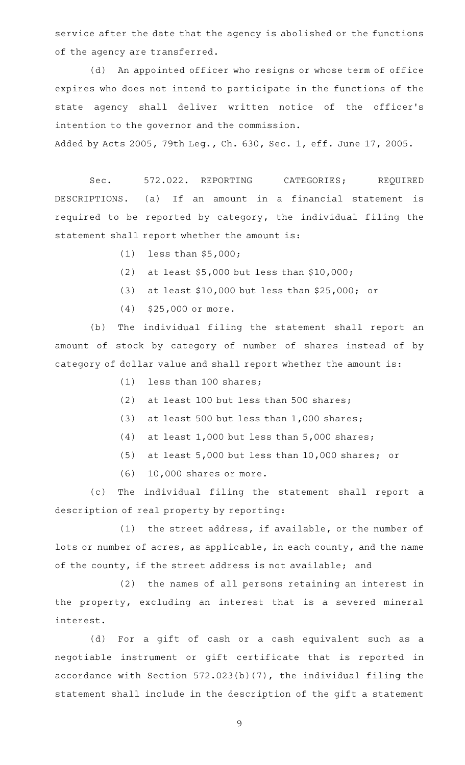service after the date that the agency is abolished or the functions of the agency are transferred.

(d) An appointed officer who resigns or whose term of office expires who does not intend to participate in the functions of the state agency shall deliver written notice of the officer 's intention to the governor and the commission. Added by Acts 2005, 79th Leg., Ch. 630, Sec. 1, eff. June 17, 2005.

Sec. 572.022. REPORTING CATEGORIES; REQUIRED DESCRIPTIONS. (a) If an amount in a financial statement is required to be reported by category, the individual filing the statement shall report whether the amount is:

- $(1)$  less than \$5,000;
- (2) at least  $$5,000$  but less than  $$10,000$ ;
- (3) at least \$10,000 but less than \$25,000; or
- $(4)$  \$25,000 or more.

(b) The individual filing the statement shall report an amount of stock by category of number of shares instead of by category of dollar value and shall report whether the amount is:

- $(1)$  less than 100 shares;
- (2) at least 100 but less than 500 shares;
- (3) at least 500 but less than  $1,000$  shares;
- (4) at least  $1,000$  but less than  $5,000$  shares;
- (5) at least  $5,000$  but less than 10,000 shares; or
- $(6)$  10,000 shares or more.

(c) The individual filing the statement shall report a description of real property by reporting:

 $(1)$  the street address, if available, or the number of lots or number of acres, as applicable, in each county, and the name of the county, if the street address is not available; and

(2) the names of all persons retaining an interest in the property, excluding an interest that is a severed mineral interest.

(d) For a gift of cash or a cash equivalent such as a negotiable instrument or gift certificate that is reported in accordance with Section 572.023(b)(7), the individual filing the statement shall include in the description of the gift a statement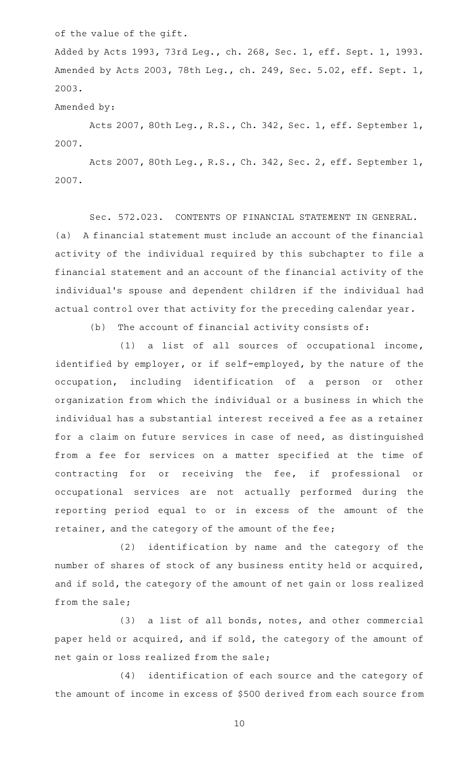of the value of the gift.

Added by Acts 1993, 73rd Leg., ch. 268, Sec. 1, eff. Sept. 1, 1993. Amended by Acts 2003, 78th Leg., ch. 249, Sec. 5.02, eff. Sept. 1, 2003.

Amended by:

Acts 2007, 80th Leg., R.S., Ch. 342, Sec. 1, eff. September 1, 2007.

Acts 2007, 80th Leg., R.S., Ch. 342, Sec. 2, eff. September 1, 2007.

Sec. 572.023. CONTENTS OF FINANCIAL STATEMENT IN GENERAL. (a) A financial statement must include an account of the financial activity of the individual required by this subchapter to file a financial statement and an account of the financial activity of the individual 's spouse and dependent children if the individual had actual control over that activity for the preceding calendar year.

 $(b)$  The account of financial activity consists of:

 $(1)$  a list of all sources of occupational income, identified by employer, or if self-employed, by the nature of the occupation, including identification of a person or other organization from which the individual or a business in which the individual has a substantial interest received a fee as a retainer for a claim on future services in case of need, as distinguished from a fee for services on a matter specified at the time of contracting for or receiving the fee, if professional or occupational services are not actually performed during the reporting period equal to or in excess of the amount of the retainer, and the category of the amount of the fee;

(2) identification by name and the category of the number of shares of stock of any business entity held or acquired, and if sold, the category of the amount of net gain or loss realized from the sale;

 $(3)$  a list of all bonds, notes, and other commercial paper held or acquired, and if sold, the category of the amount of net gain or loss realized from the sale;

(4) identification of each source and the category of the amount of income in excess of \$500 derived from each source from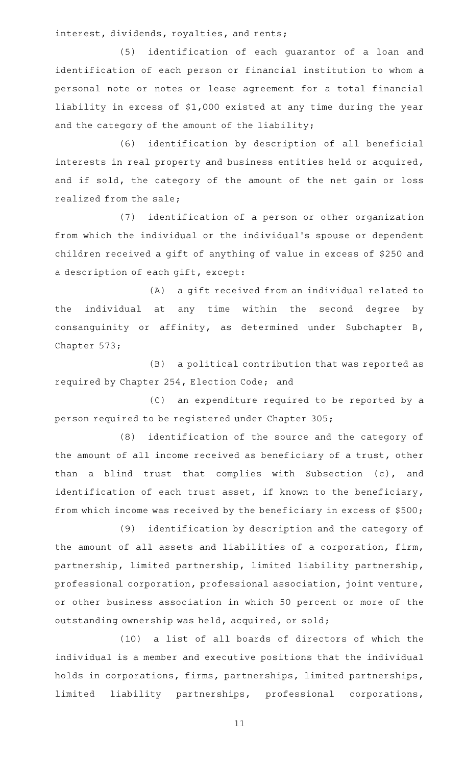interest, dividends, royalties, and rents;

(5) identification of each guarantor of a loan and identification of each person or financial institution to whom a personal note or notes or lease agreement for a total financial liability in excess of \$1,000 existed at any time during the year and the category of the amount of the liability;

(6) identification by description of all beneficial interests in real property and business entities held or acquired, and if sold, the category of the amount of the net gain or loss realized from the sale;

(7) identification of a person or other organization from which the individual or the individual 's spouse or dependent children received a gift of anything of value in excess of \$250 and a description of each gift, except:

(A) a gift received from an individual related to the individual at any time within the second degree by consanguinity or affinity, as determined under Subchapter B, Chapter 573;

(B) a political contribution that was reported as required by Chapter 254, Election Code; and

(C) an expenditure required to be reported by a person required to be registered under Chapter 305;

(8) identification of the source and the category of the amount of all income received as beneficiary of a trust, other than a blind trust that complies with Subsection (c), and identification of each trust asset, if known to the beneficiary, from which income was received by the beneficiary in excess of \$500;

(9) identification by description and the category of the amount of all assets and liabilities of a corporation, firm, partnership, limited partnership, limited liability partnership, professional corporation, professional association, joint venture, or other business association in which 50 percent or more of the outstanding ownership was held, acquired, or sold;

(10) a list of all boards of directors of which the individual is a member and executive positions that the individual holds in corporations, firms, partnerships, limited partnerships, limited liability partnerships, professional corporations,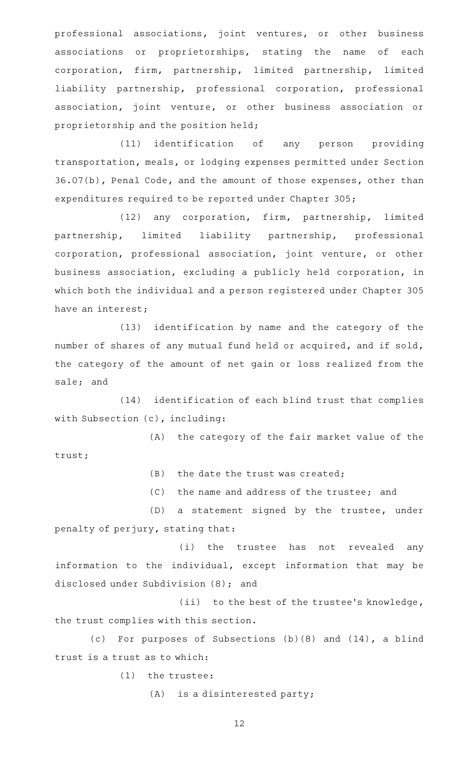professional associations, joint ventures, or other business associations or proprietorships, stating the name of each corporation, firm, partnership, limited partnership, limited liability partnership, professional corporation, professional association, joint venture, or other business association or proprietorship and the position held;

(11) identification of any person providing transportation, meals, or lodging expenses permitted under Section 36.07(b), Penal Code, and the amount of those expenses, other than expenditures required to be reported under Chapter 305;

(12) any corporation, firm, partnership, limited partnership, limited liability partnership, professional corporation, professional association, joint venture, or other business association, excluding a publicly held corporation, in which both the individual and a person registered under Chapter 305 have an interest;

(13) identification by name and the category of the number of shares of any mutual fund held or acquired, and if sold, the category of the amount of net gain or loss realized from the sale; and

(14) identification of each blind trust that complies with Subsection (c), including:

(A) the category of the fair market value of the trust;

 $(B)$  the date the trust was created;

(C) the name and address of the trustee; and

(D) a statement signed by the trustee, under penalty of perjury, stating that:

(i) the trustee has not revealed any information to the individual, except information that may be disclosed under Subdivision (8); and

(ii) to the best of the trustee's knowledge, the trust complies with this section.

(c) For purposes of Subsections  $(b)(8)$  and  $(14)$ , a blind trust is a trust as to which:

 $(1)$  the trustee:

 $(A)$  is a disinterested party;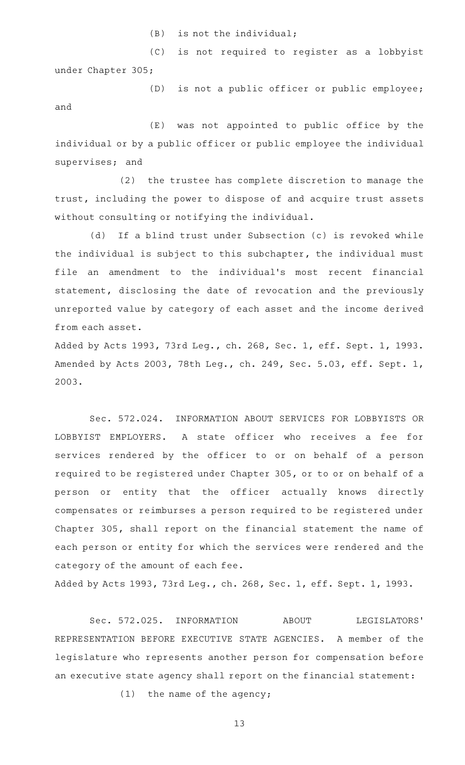$(B)$  is not the individual;

(C) is not required to register as a lobbyist under Chapter 305;

 $(D)$  is not a public officer or public employee; and

 $(E)$  was not appointed to public office by the individual or by a public officer or public employee the individual supervises; and

(2) the trustee has complete discretion to manage the trust, including the power to dispose of and acquire trust assets without consulting or notifying the individual.

(d) If a blind trust under Subsection (c) is revoked while the individual is subject to this subchapter, the individual must file an amendment to the individual 's most recent financial statement, disclosing the date of revocation and the previously unreported value by category of each asset and the income derived from each asset.

Added by Acts 1993, 73rd Leg., ch. 268, Sec. 1, eff. Sept. 1, 1993. Amended by Acts 2003, 78th Leg., ch. 249, Sec. 5.03, eff. Sept. 1, 2003.

Sec. 572.024. INFORMATION ABOUT SERVICES FOR LOBBYISTS OR LOBBYIST EMPLOYERS. A state officer who receives a fee for services rendered by the officer to or on behalf of a person required to be registered under Chapter 305, or to or on behalf of a person or entity that the officer actually knows directly compensates or reimburses a person required to be registered under Chapter 305, shall report on the financial statement the name of each person or entity for which the services were rendered and the category of the amount of each fee.

Added by Acts 1993, 73rd Leg., ch. 268, Sec. 1, eff. Sept. 1, 1993.

Sec. 572.025. INFORMATION ABOUT LEGISLATORS' REPRESENTATION BEFORE EXECUTIVE STATE AGENCIES. A member of the legislature who represents another person for compensation before an executive state agency shall report on the financial statement:

 $(1)$  the name of the agency;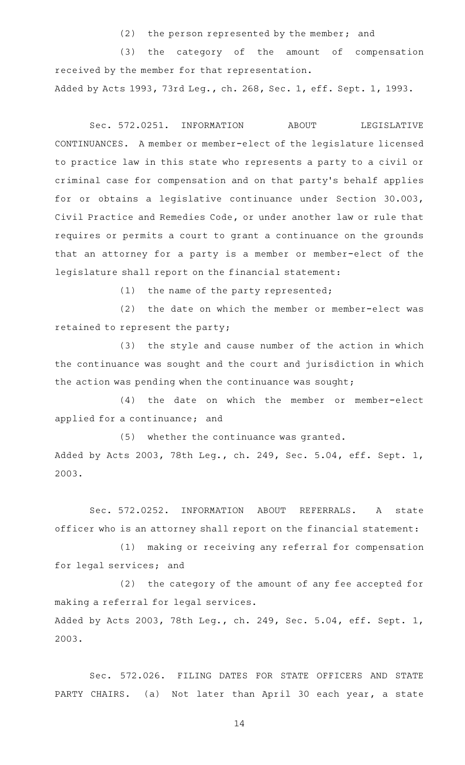$(2)$  the person represented by the member; and

(3) the category of the amount of compensation received by the member for that representation. Added by Acts 1993, 73rd Leg., ch. 268, Sec. 1, eff. Sept. 1, 1993.

Sec. 572.0251. INFORMATION ABOUT LEGISLATIVE CONTINUANCES. A member or member-elect of the legislature licensed to practice law in this state who represents a party to a civil or criminal case for compensation and on that party 's behalf applies for or obtains a legislative continuance under Section 30.003, Civil Practice and Remedies Code, or under another law or rule that requires or permits a court to grant a continuance on the grounds that an attorney for a party is a member or member-elect of the legislature shall report on the financial statement:

 $(1)$  the name of the party represented;

(2) the date on which the member or member-elect was retained to represent the party;

(3) the style and cause number of the action in which the continuance was sought and the court and jurisdiction in which the action was pending when the continuance was sought;

(4) the date on which the member or member-elect applied for a continuance; and

(5) whether the continuance was granted. Added by Acts 2003, 78th Leg., ch. 249, Sec. 5.04, eff. Sept. 1, 2003.

Sec. 572.0252. INFORMATION ABOUT REFERRALS. A state officer who is an attorney shall report on the financial statement:

(1) making or receiving any referral for compensation for legal services; and

 $(2)$  the category of the amount of any fee accepted for making a referral for legal services. Added by Acts 2003, 78th Leg., ch. 249, Sec. 5.04, eff. Sept. 1, 2003.

Sec. 572.026. FILING DATES FOR STATE OFFICERS AND STATE PARTY CHAIRS. (a) Not later than April 30 each year, a state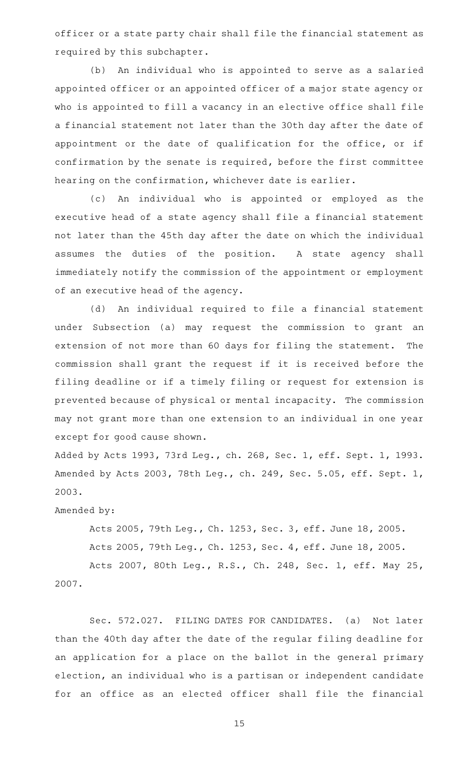officer or a state party chair shall file the financial statement as required by this subchapter.

(b) An individual who is appointed to serve as a salaried appointed officer or an appointed officer of a major state agency or who is appointed to fill a vacancy in an elective office shall file a financial statement not later than the 30th day after the date of appointment or the date of qualification for the office, or if confirmation by the senate is required, before the first committee hearing on the confirmation, whichever date is earlier.

(c) An individual who is appointed or employed as the executive head of a state agency shall file a financial statement not later than the 45th day after the date on which the individual assumes the duties of the position. A state agency shall immediately notify the commission of the appointment or employment of an executive head of the agency.

(d) An individual required to file a financial statement under Subsection (a) may request the commission to grant an extension of not more than 60 days for filing the statement. The commission shall grant the request if it is received before the filing deadline or if a timely filing or request for extension is prevented because of physical or mental incapacity. The commission may not grant more than one extension to an individual in one year except for good cause shown.

Added by Acts 1993, 73rd Leg., ch. 268, Sec. 1, eff. Sept. 1, 1993. Amended by Acts 2003, 78th Leg., ch. 249, Sec. 5.05, eff. Sept. 1, 2003.

Amended by:

Acts 2005, 79th Leg., Ch. 1253, Sec. 3, eff. June 18, 2005.

Acts 2005, 79th Leg., Ch. 1253, Sec. 4, eff. June 18, 2005.

Acts 2007, 80th Leg., R.S., Ch. 248, Sec. 1, eff. May 25, 2007.

Sec. 572.027. FILING DATES FOR CANDIDATES. (a) Not later than the 40th day after the date of the regular filing deadline for an application for a place on the ballot in the general primary election, an individual who is a partisan or independent candidate for an office as an elected officer shall file the financial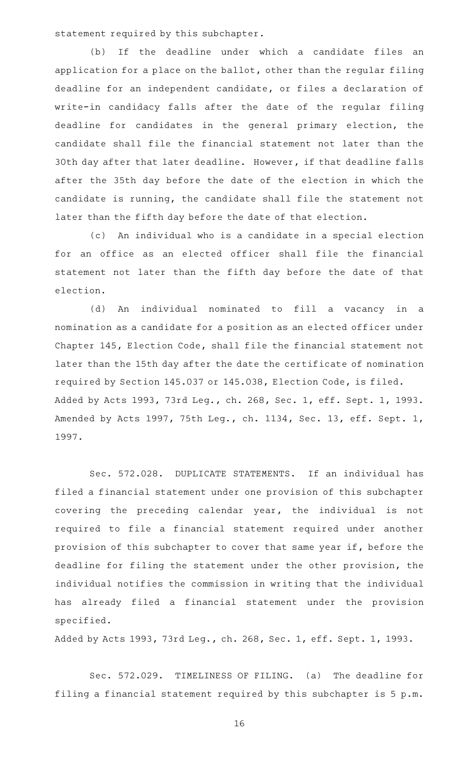statement required by this subchapter.

(b) If the deadline under which a candidate files an application for a place on the ballot, other than the regular filing deadline for an independent candidate, or files a declaration of write-in candidacy falls after the date of the regular filing deadline for candidates in the general primary election, the candidate shall file the financial statement not later than the 30th day after that later deadline. However, if that deadline falls after the 35th day before the date of the election in which the candidate is running, the candidate shall file the statement not later than the fifth day before the date of that election.

(c) An individual who is a candidate in a special election for an office as an elected officer shall file the financial statement not later than the fifth day before the date of that election.

(d) An individual nominated to fill a vacancy in a nomination as a candidate for a position as an elected officer under Chapter 145, Election Code, shall file the financial statement not later than the 15th day after the date the certificate of nomination required by Section 145.037 or 145.038, Election Code, is filed. Added by Acts 1993, 73rd Leg., ch. 268, Sec. 1, eff. Sept. 1, 1993. Amended by Acts 1997, 75th Leg., ch. 1134, Sec. 13, eff. Sept. 1, 1997.

Sec. 572.028. DUPLICATE STATEMENTS. If an individual has filed a financial statement under one provision of this subchapter covering the preceding calendar year, the individual is not required to file a financial statement required under another provision of this subchapter to cover that same year if, before the deadline for filing the statement under the other provision, the individual notifies the commission in writing that the individual has already filed a financial statement under the provision specified.

Added by Acts 1993, 73rd Leg., ch. 268, Sec. 1, eff. Sept. 1, 1993.

Sec. 572.029. TIMELINESS OF FILING. (a) The deadline for filing a financial statement required by this subchapter is 5 p.m.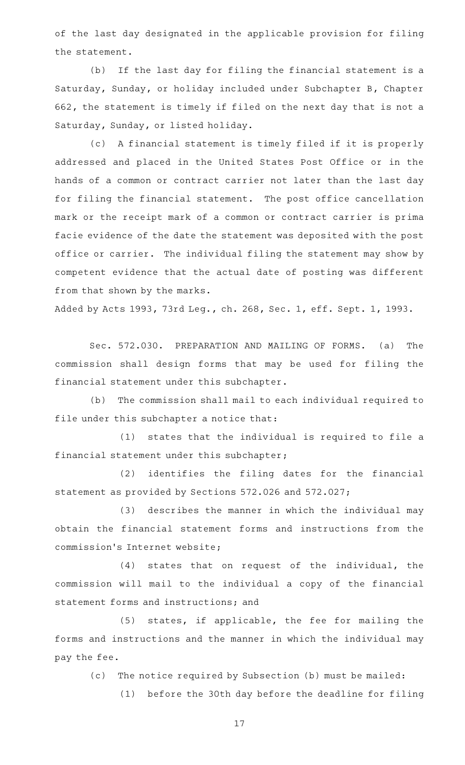of the last day designated in the applicable provision for filing the statement.

(b) If the last day for filing the financial statement is a Saturday, Sunday, or holiday included under Subchapter B, Chapter 662, the statement is timely if filed on the next day that is not a Saturday, Sunday, or listed holiday.

(c) A financial statement is timely filed if it is properly addressed and placed in the United States Post Office or in the hands of a common or contract carrier not later than the last day for filing the financial statement. The post office cancellation mark or the receipt mark of a common or contract carrier is prima facie evidence of the date the statement was deposited with the post office or carrier. The individual filing the statement may show by competent evidence that the actual date of posting was different from that shown by the marks.

Added by Acts 1993, 73rd Leg., ch. 268, Sec. 1, eff. Sept. 1, 1993.

Sec. 572.030. PREPARATION AND MAILING OF FORMS. (a) The commission shall design forms that may be used for filing the financial statement under this subchapter.

(b) The commission shall mail to each individual required to file under this subchapter a notice that:

(1) states that the individual is required to file a financial statement under this subchapter;

(2) identifies the filing dates for the financial statement as provided by Sections 572.026 and 572.027;

(3) describes the manner in which the individual may obtain the financial statement forms and instructions from the commission 's Internet website;

(4) states that on request of the individual, the commission will mail to the individual a copy of the financial statement forms and instructions; and

(5) states, if applicable, the fee for mailing the forms and instructions and the manner in which the individual may pay the fee.

(c) The notice required by Subsection (b) must be mailed:

(1) before the 30th day before the deadline for filing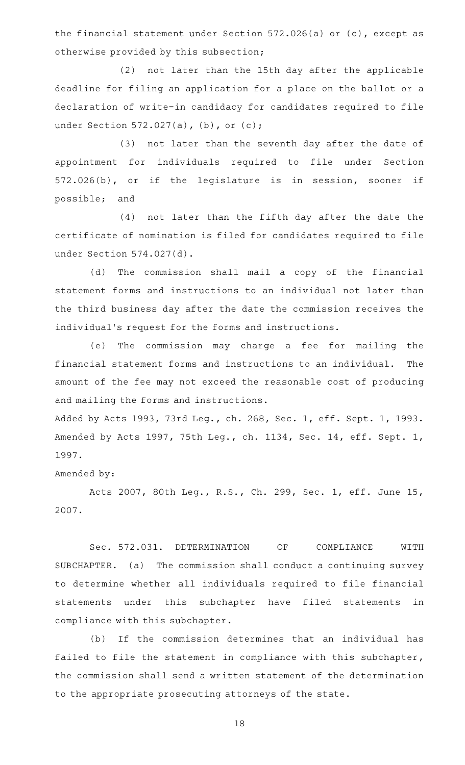the financial statement under Section 572.026(a) or (c), except as otherwise provided by this subsection;

(2) not later than the 15th day after the applicable deadline for filing an application for a place on the ballot or a declaration of write-in candidacy for candidates required to file under Section 572.027(a), (b), or (c);

(3) not later than the seventh day after the date of appointment for individuals required to file under Section 572.026(b), or if the legislature is in session, sooner if possible; and

(4) not later than the fifth day after the date the certificate of nomination is filed for candidates required to file under Section 574.027(d).

(d) The commission shall mail a copy of the financial statement forms and instructions to an individual not later than the third business day after the date the commission receives the individual 's request for the forms and instructions.

(e) The commission may charge a fee for mailing the financial statement forms and instructions to an individual. The amount of the fee may not exceed the reasonable cost of producing and mailing the forms and instructions.

Added by Acts 1993, 73rd Leg., ch. 268, Sec. 1, eff. Sept. 1, 1993. Amended by Acts 1997, 75th Leg., ch. 1134, Sec. 14, eff. Sept. 1, 1997.

Amended by:

Acts 2007, 80th Leg., R.S., Ch. 299, Sec. 1, eff. June 15, 2007.

Sec. 572.031. DETERMINATION OF COMPLIANCE WITH SUBCHAPTER. (a) The commission shall conduct a continuing survey to determine whether all individuals required to file financial statements under this subchapter have filed statements in compliance with this subchapter.

(b) If the commission determines that an individual has failed to file the statement in compliance with this subchapter, the commission shall send a written statement of the determination to the appropriate prosecuting attorneys of the state.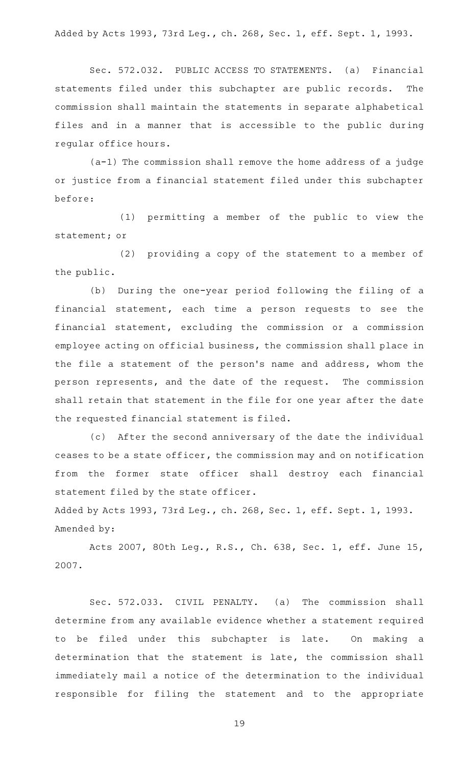Added by Acts 1993, 73rd Leg., ch. 268, Sec. 1, eff. Sept. 1, 1993.

Sec. 572.032. PUBLIC ACCESS TO STATEMENTS. (a) Financial statements filed under this subchapter are public records. The commission shall maintain the statements in separate alphabetical files and in a manner that is accessible to the public during regular office hours.

(a-1) The commission shall remove the home address of a judge or justice from a financial statement filed under this subchapter before:

(1) permitting a member of the public to view the statement; or

(2) providing a copy of the statement to a member of the public.

(b) During the one-year period following the filing of a financial statement, each time a person requests to see the financial statement, excluding the commission or a commission employee acting on official business, the commission shall place in the file a statement of the person 's name and address, whom the person represents, and the date of the request. The commission shall retain that statement in the file for one year after the date the requested financial statement is filed.

(c) After the second anniversary of the date the individual ceases to be a state officer, the commission may and on notification from the former state officer shall destroy each financial statement filed by the state officer.

Added by Acts 1993, 73rd Leg., ch. 268, Sec. 1, eff. Sept. 1, 1993. Amended by:

Acts 2007, 80th Leg., R.S., Ch. 638, Sec. 1, eff. June 15, 2007.

Sec. 572.033. CIVIL PENALTY. (a) The commission shall determine from any available evidence whether a statement required to be filed under this subchapter is late. On making a determination that the statement is late, the commission shall immediately mail a notice of the determination to the individual responsible for filing the statement and to the appropriate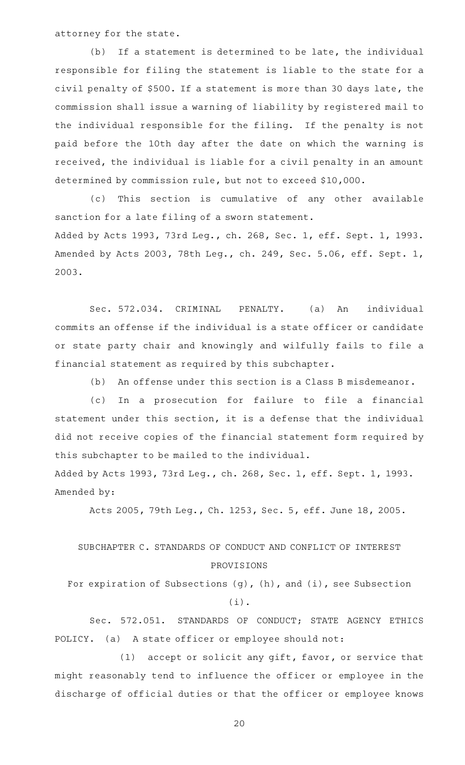attorney for the state.

(b) If a statement is determined to be late, the individual responsible for filing the statement is liable to the state for a civil penalty of \$500. If a statement is more than 30 days late, the commission shall issue a warning of liability by registered mail to the individual responsible for the filing. If the penalty is not paid before the 10th day after the date on which the warning is received, the individual is liable for a civil penalty in an amount determined by commission rule, but not to exceed \$10,000.

(c) This section is cumulative of any other available sanction for a late filing of a sworn statement. Added by Acts 1993, 73rd Leg., ch. 268, Sec. 1, eff. Sept. 1, 1993. Amended by Acts 2003, 78th Leg., ch. 249, Sec. 5.06, eff. Sept. 1, 2003.

Sec. 572.034. CRIMINAL PENALTY. (a) An individual commits an offense if the individual is a state officer or candidate or state party chair and knowingly and wilfully fails to file a financial statement as required by this subchapter.

(b) An offense under this section is a Class B misdemeanor.

(c) In a prosecution for failure to file a financial statement under this section, it is a defense that the individual did not receive copies of the financial statement form required by this subchapter to be mailed to the individual.

Added by Acts 1993, 73rd Leg., ch. 268, Sec. 1, eff. Sept. 1, 1993. Amended by:

Acts 2005, 79th Leg., Ch. 1253, Sec. 5, eff. June 18, 2005.

# SUBCHAPTER C. STANDARDS OF CONDUCT AND CONFLICT OF INTEREST PROVISIONS

For expiration of Subsections (g), (h), and (i), see Subsection (i).

Sec. 572.051. STANDARDS OF CONDUCT; STATE AGENCY ETHICS POLICY. (a) A state officer or employee should not:

 $(1)$  accept or solicit any gift, favor, or service that might reasonably tend to influence the officer or employee in the discharge of official duties or that the officer or employee knows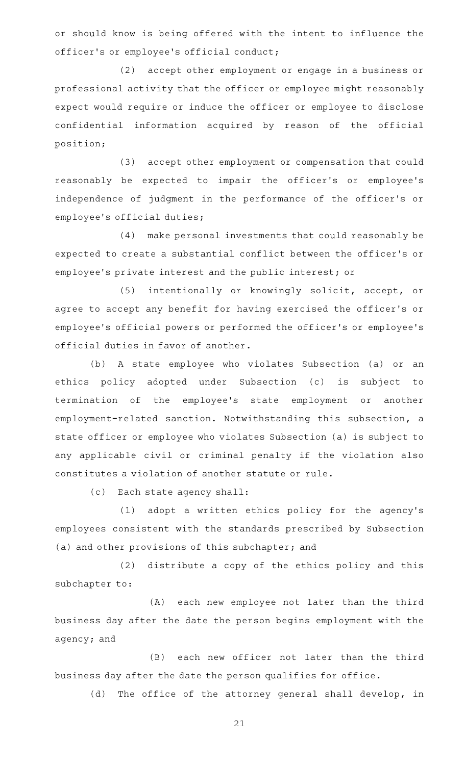or should know is being offered with the intent to influence the officer 's or employee 's official conduct;

(2) accept other employment or engage in a business or professional activity that the officer or employee might reasonably expect would require or induce the officer or employee to disclose confidential information acquired by reason of the official position;

(3) accept other employment or compensation that could reasonably be expected to impair the officer 's or employee 's independence of judgment in the performance of the officer 's or employee 's official duties;

(4) make personal investments that could reasonably be expected to create a substantial conflict between the officer 's or employee 's private interest and the public interest; or

(5) intentionally or knowingly solicit, accept, or agree to accept any benefit for having exercised the officer 's or employee 's official powers or performed the officer 's or employee 's official duties in favor of another.

(b) A state employee who violates Subsection (a) or an ethics policy adopted under Subsection (c) is subject to termination of the employee 's state employment or another employment-related sanction. Notwithstanding this subsection, a state officer or employee who violates Subsection (a) is subject to any applicable civil or criminal penalty if the violation also constitutes a violation of another statute or rule.

(c) Each state agency shall:

(1) adopt a written ethics policy for the agency's employees consistent with the standards prescribed by Subsection (a) and other provisions of this subchapter; and

(2) distribute a copy of the ethics policy and this subchapter to:

(A) each new employee not later than the third business day after the date the person begins employment with the agency; and

(B) each new officer not later than the third business day after the date the person qualifies for office.

(d) The office of the attorney general shall develop, in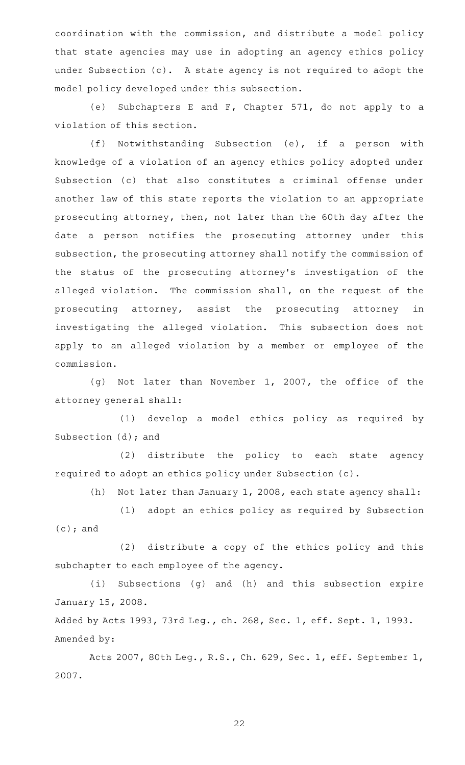coordination with the commission, and distribute a model policy that state agencies may use in adopting an agency ethics policy under Subsection (c). A state agency is not required to adopt the model policy developed under this subsection.

(e) Subchapters E and F, Chapter  $571$ , do not apply to a violation of this section.

 $(f)$  Notwithstanding Subsection (e), if a person with knowledge of a violation of an agency ethics policy adopted under Subsection (c) that also constitutes a criminal offense under another law of this state reports the violation to an appropriate prosecuting attorney, then, not later than the 60th day after the date a person notifies the prosecuting attorney under this subsection, the prosecuting attorney shall notify the commission of the status of the prosecuting attorney 's investigation of the alleged violation. The commission shall, on the request of the prosecuting attorney, assist the prosecuting attorney in investigating the alleged violation. This subsection does not apply to an alleged violation by a member or employee of the commission.

(g) Not later than November 1, 2007, the office of the attorney general shall:

(1) develop a model ethics policy as required by Subsection (d); and

(2) distribute the policy to each state agency required to adopt an ethics policy under Subsection (c).

(h) Not later than January 1, 2008, each state agency shall:

(1) adopt an ethics policy as required by Subsection (c); and

(2) distribute a copy of the ethics policy and this subchapter to each employee of the agency.

(i) Subsections (g) and (h) and this subsection expire January 15, 2008.

Added by Acts 1993, 73rd Leg., ch. 268, Sec. 1, eff. Sept. 1, 1993. Amended by:

Acts 2007, 80th Leg., R.S., Ch. 629, Sec. 1, eff. September 1, 2007.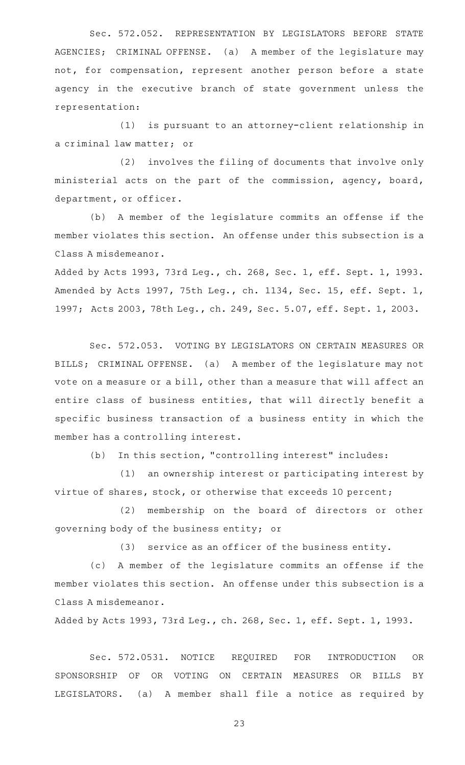Sec. 572.052. REPRESENTATION BY LEGISLATORS BEFORE STATE AGENCIES; CRIMINAL OFFENSE. (a) A member of the legislature may not, for compensation, represent another person before a state agency in the executive branch of state government unless the representation:

 $(1)$  is pursuant to an attorney-client relationship in a criminal law matter; or

(2) involves the filing of documents that involve only ministerial acts on the part of the commission, agency, board, department, or officer.

(b) A member of the legislature commits an offense if the member violates this section. An offense under this subsection is a Class A misdemeanor.

Added by Acts 1993, 73rd Leg., ch. 268, Sec. 1, eff. Sept. 1, 1993. Amended by Acts 1997, 75th Leg., ch. 1134, Sec. 15, eff. Sept. 1, 1997; Acts 2003, 78th Leg., ch. 249, Sec. 5.07, eff. Sept. 1, 2003.

Sec. 572.053. VOTING BY LEGISLATORS ON CERTAIN MEASURES OR BILLS; CRIMINAL OFFENSE. (a) A member of the legislature may not vote on a measure or a bill, other than a measure that will affect an entire class of business entities, that will directly benefit a specific business transaction of a business entity in which the member has a controlling interest.

(b) In this section, "controlling interest" includes:

(1) an ownership interest or participating interest by virtue of shares, stock, or otherwise that exceeds 10 percent;

(2) membership on the board of directors or other governing body of the business entity; or

 $(3)$  service as an officer of the business entity.

(c)AAA member of the legislature commits an offense if the member violates this section. An offense under this subsection is a Class A misdemeanor.

Added by Acts 1993, 73rd Leg., ch. 268, Sec. 1, eff. Sept. 1, 1993.

Sec. 572.0531. NOTICE REQUIRED FOR INTRODUCTION OR SPONSORSHIP OF OR VOTING ON CERTAIN MEASURES OR BILLS BY LEGISLATORS. (a) A member shall file a notice as required by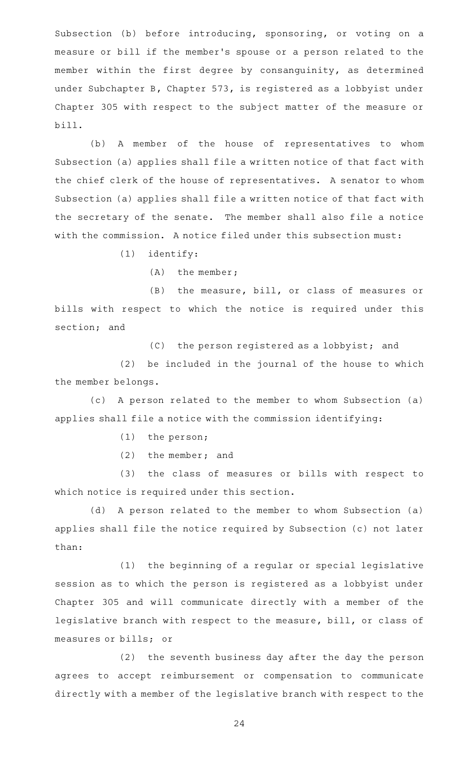Subsection (b) before introducing, sponsoring, or voting on a measure or bill if the member 's spouse or a person related to the member within the first degree by consanguinity, as determined under Subchapter B, Chapter 573, is registered as a lobbyist under Chapter 305 with respect to the subject matter of the measure or bill.

(b) A member of the house of representatives to whom Subsection (a) applies shall file a written notice of that fact with the chief clerk of the house of representatives. A senator to whom Subsection (a) applies shall file a written notice of that fact with the secretary of the senate. The member shall also file a notice with the commission. A notice filed under this subsection must:

 $(1)$  identify:

(A) the member;

(B) the measure, bill, or class of measures or bills with respect to which the notice is required under this section; and

(C) the person registered as a lobbyist; and

(2) be included in the journal of the house to which the member belongs.

(c) A person related to the member to whom Subsection (a) applies shall file a notice with the commission identifying:

 $(1)$  the person;

 $(2)$  the member; and

(3) the class of measures or bills with respect to which notice is required under this section.

(d) A person related to the member to whom Subsection (a) applies shall file the notice required by Subsection (c) not later than:

(1) the beginning of a regular or special legislative session as to which the person is registered as a lobbyist under Chapter 305 and will communicate directly with a member of the legislative branch with respect to the measure, bill, or class of measures or bills; or

(2) the seventh business day after the day the person agrees to accept reimbursement or compensation to communicate directly with a member of the legislative branch with respect to the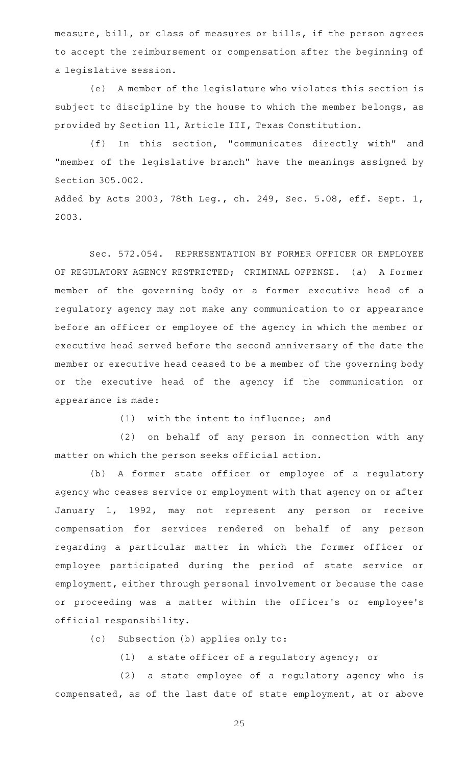measure, bill, or class of measures or bills, if the person agrees to accept the reimbursement or compensation after the beginning of a legislative session.

(e) A member of the legislature who violates this section is subject to discipline by the house to which the member belongs, as provided by Section 11, Article III, Texas Constitution.

(f) In this section, "communicates directly with" and "member of the legislative branch" have the meanings assigned by Section 305.002.

Added by Acts 2003, 78th Leg., ch. 249, Sec. 5.08, eff. Sept. 1, 2003.

Sec. 572.054. REPRESENTATION BY FORMER OFFICER OR EMPLOYEE OF REGULATORY AGENCY RESTRICTED; CRIMINAL OFFENSE. (a) A former member of the governing body or a former executive head of a regulatory agency may not make any communication to or appearance before an officer or employee of the agency in which the member or executive head served before the second anniversary of the date the member or executive head ceased to be a member of the governing body or the executive head of the agency if the communication or appearance is made:

 $(1)$  with the intent to influence; and

(2) on behalf of any person in connection with any matter on which the person seeks official action.

(b) A former state officer or employee of a regulatory agency who ceases service or employment with that agency on or after January 1, 1992, may not represent any person or receive compensation for services rendered on behalf of any person regarding a particular matter in which the former officer or employee participated during the period of state service or employment, either through personal involvement or because the case or proceeding was a matter within the officer 's or employee 's official responsibility.

(c) Subsection (b) applies only to:

(1) a state officer of a regulatory agency; or

(2) a state employee of a regulatory agency who is compensated, as of the last date of state employment, at or above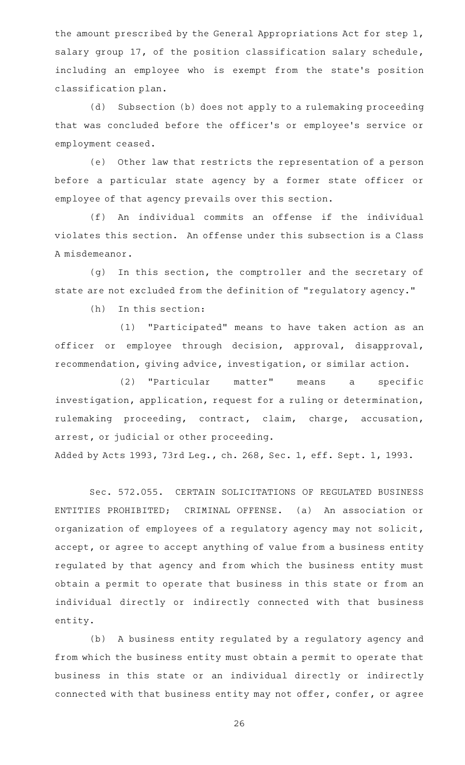the amount prescribed by the General Appropriations Act for step 1, salary group 17, of the position classification salary schedule, including an employee who is exempt from the state 's position classification plan.

(d) Subsection (b) does not apply to a rulemaking proceeding that was concluded before the officer 's or employee 's service or employment ceased.

(e) Other law that restricts the representation of a person before a particular state agency by a former state officer or employee of that agency prevails over this section.

(f) An individual commits an offense if the individual violates this section. An offense under this subsection is a Class A misdemeanor.

(g) In this section, the comptroller and the secretary of state are not excluded from the definition of "regulatory agency."

 $(h)$  In this section:

(1) "Participated" means to have taken action as an officer or employee through decision, approval, disapproval, recommendation, giving advice, investigation, or similar action.

(2) "Particular matter" means a specific investigation, application, request for a ruling or determination, rulemaking proceeding, contract, claim, charge, accusation, arrest, or judicial or other proceeding.

Added by Acts 1993, 73rd Leg., ch. 268, Sec. 1, eff. Sept. 1, 1993.

Sec. 572.055. CERTAIN SOLICITATIONS OF REGULATED BUSINESS ENTITIES PROHIBITED; CRIMINAL OFFENSE. (a) An association or organization of employees of a regulatory agency may not solicit, accept, or agree to accept anything of value from a business entity regulated by that agency and from which the business entity must obtain a permit to operate that business in this state or from an individual directly or indirectly connected with that business entity.

(b) A business entity regulated by a regulatory agency and from which the business entity must obtain a permit to operate that business in this state or an individual directly or indirectly connected with that business entity may not offer, confer, or agree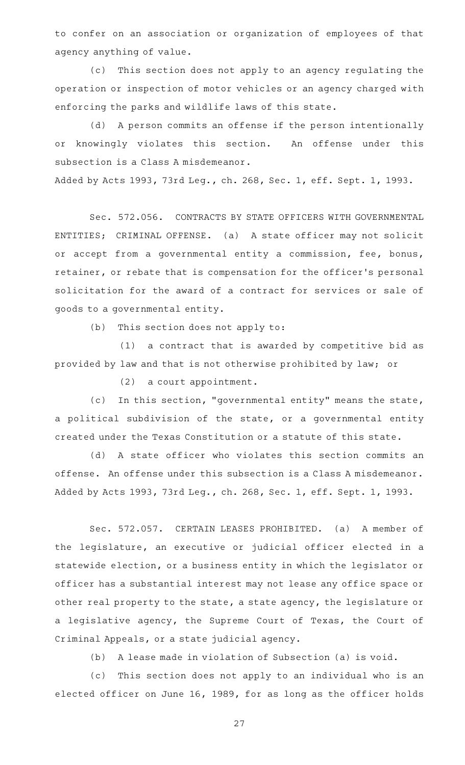to confer on an association or organization of employees of that agency anything of value.

(c) This section does not apply to an agency regulating the operation or inspection of motor vehicles or an agency charged with enforcing the parks and wildlife laws of this state.

(d) A person commits an offense if the person intentionally or knowingly violates this section. An offense under this subsection is a Class A misdemeanor.

Added by Acts 1993, 73rd Leg., ch. 268, Sec. 1, eff. Sept. 1, 1993.

Sec. 572.056. CONTRACTS BY STATE OFFICERS WITH GOVERNMENTAL ENTITIES; CRIMINAL OFFENSE. (a) A state officer may not solicit or accept from a governmental entity a commission, fee, bonus, retainer, or rebate that is compensation for the officer 's personal solicitation for the award of a contract for services or sale of goods to a governmental entity.

 $(b)$  This section does not apply to:

 $(1)$  a contract that is awarded by competitive bid as provided by law and that is not otherwise prohibited by law; or

 $(2)$  a court appointment.

(c) In this section, "governmental entity" means the state, a political subdivision of the state, or a governmental entity created under the Texas Constitution or a statute of this state.

(d)AAA state officer who violates this section commits an offense. An offense under this subsection is a Class A misdemeanor. Added by Acts 1993, 73rd Leg., ch. 268, Sec. 1, eff. Sept. 1, 1993.

Sec. 572.057. CERTAIN LEASES PROHIBITED. (a) A member of the legislature, an executive or judicial officer elected in a statewide election, or a business entity in which the legislator or officer has a substantial interest may not lease any office space or other real property to the state, a state agency, the legislature or a legislative agency, the Supreme Court of Texas, the Court of Criminal Appeals, or a state judicial agency.

(b) A lease made in violation of Subsection (a) is void.

(c) This section does not apply to an individual who is an elected officer on June 16, 1989, for as long as the officer holds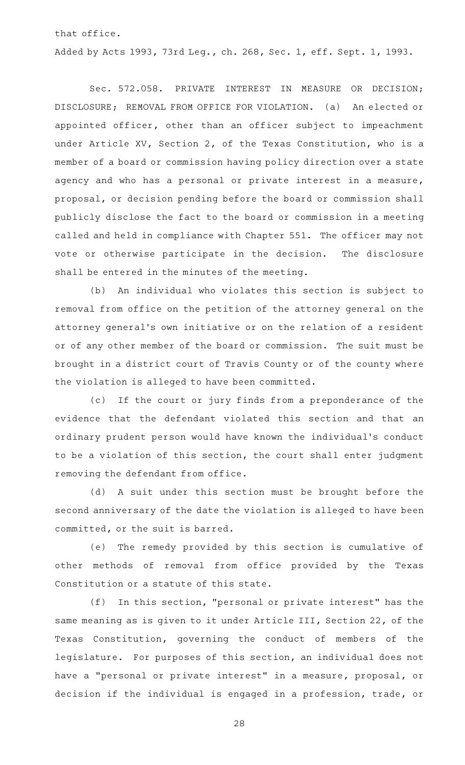that office.

Added by Acts 1993, 73rd Leg., ch. 268, Sec. 1, eff. Sept. 1, 1993.

Sec. 572.058. PRIVATE INTEREST IN MEASURE OR DECISION; DISCLOSURE; REMOVAL FROM OFFICE FOR VIOLATION. (a) An elected or appointed officer, other than an officer subject to impeachment under Article XV, Section 2, of the Texas Constitution, who is a member of a board or commission having policy direction over a state agency and who has a personal or private interest in a measure, proposal, or decision pending before the board or commission shall publicly disclose the fact to the board or commission in a meeting called and held in compliance with Chapter 551. The officer may not vote or otherwise participate in the decision. The disclosure shall be entered in the minutes of the meeting.

(b) An individual who violates this section is subject to removal from office on the petition of the attorney general on the attorney general 's own initiative or on the relation of a resident or of any other member of the board or commission. The suit must be brought in a district court of Travis County or of the county where the violation is alleged to have been committed.

(c) If the court or jury finds from a preponderance of the evidence that the defendant violated this section and that an ordinary prudent person would have known the individual 's conduct to be a violation of this section, the court shall enter judgment removing the defendant from office.

(d) A suit under this section must be brought before the second anniversary of the date the violation is alleged to have been committed, or the suit is barred.

(e) The remedy provided by this section is cumulative of other methods of removal from office provided by the Texas Constitution or a statute of this state.

 $(f)$  In this section, "personal or private interest" has the same meaning as is given to it under Article III, Section 22, of the Texas Constitution, governing the conduct of members of the legislature. For purposes of this section, an individual does not have a "personal or private interest" in a measure, proposal, or decision if the individual is engaged in a profession, trade, or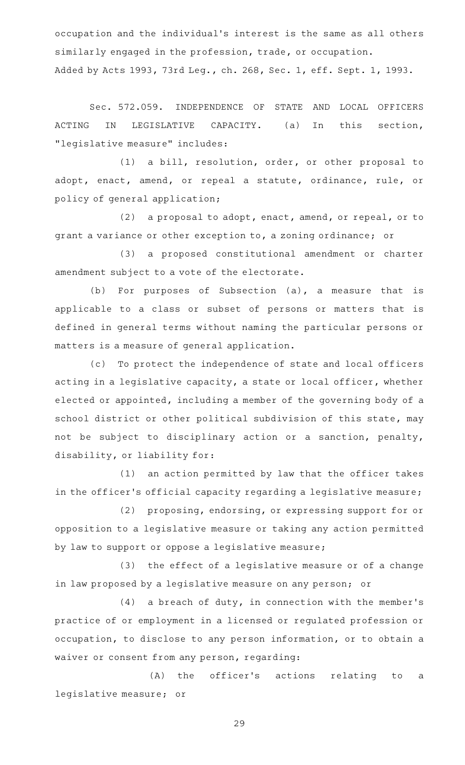occupation and the individual 's interest is the same as all others similarly engaged in the profession, trade, or occupation. Added by Acts 1993, 73rd Leg., ch. 268, Sec. 1, eff. Sept. 1, 1993.

Sec. 572.059. INDEPENDENCE OF STATE AND LOCAL OFFICERS ACTING IN LEGISLATIVE CAPACITY. (a) In this section, "legislative measure" includes:

(1) a bill, resolution, order, or other proposal to adopt, enact, amend, or repeal a statute, ordinance, rule, or policy of general application;

(2) a proposal to adopt, enact, amend, or repeal, or to grant a variance or other exception to, a zoning ordinance; or

(3) a proposed constitutional amendment or charter amendment subject to a vote of the electorate.

(b) For purposes of Subsection  $(a)$ , a measure that is applicable to a class or subset of persons or matters that is defined in general terms without naming the particular persons or matters is a measure of general application.

(c) To protect the independence of state and local officers acting in a legislative capacity, a state or local officer, whether elected or appointed, including a member of the governing body of a school district or other political subdivision of this state, may not be subject to disciplinary action or a sanction, penalty, disability, or liability for:

 $(1)$  an action permitted by law that the officer takes in the officer 's official capacity regarding a legislative measure;

(2) proposing, endorsing, or expressing support for or opposition to a legislative measure or taking any action permitted by law to support or oppose a legislative measure;

(3) the effect of a legislative measure or of a change in law proposed by a legislative measure on any person; or

 $(4)$  a breach of duty, in connection with the member's practice of or employment in a licensed or regulated profession or occupation, to disclose to any person information, or to obtain a waiver or consent from any person, regarding:

(A) the officer's actions relating to a legislative measure; or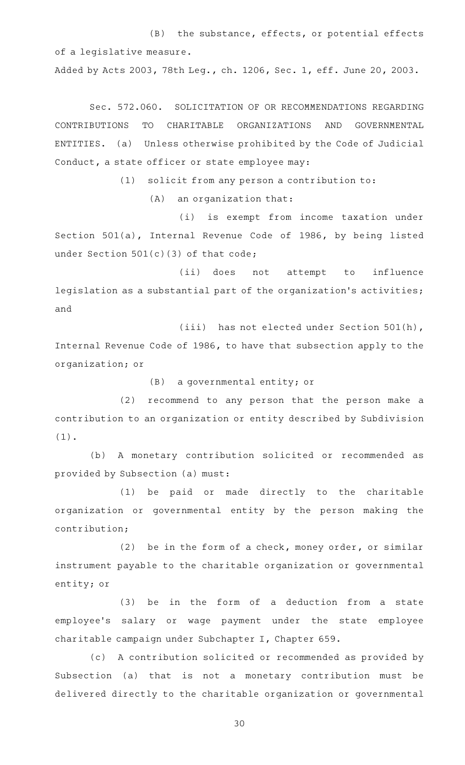$(B)$  the substance, effects, or potential effects of a legislative measure.

Added by Acts 2003, 78th Leg., ch. 1206, Sec. 1, eff. June 20, 2003.

Sec. 572.060. SOLICITATION OF OR RECOMMENDATIONS REGARDING CONTRIBUTIONS TO CHARITABLE ORGANIZATIONS AND GOVERNMENTAL ENTITIES. (a) Unless otherwise prohibited by the Code of Judicial Conduct, a state officer or state employee may:

 $(1)$  solicit from any person a contribution to:

 $(A)$  an organization that:

(i) is exempt from income taxation under Section 501(a), Internal Revenue Code of 1986, by being listed under Section  $501(c)(3)$  of that code;

(ii) does not attempt to influence legislation as a substantial part of the organization 's activities; and

(iii) has not elected under Section 501(h), Internal Revenue Code of 1986, to have that subsection apply to the organization; or

 $(B)$  a governmental entity; or

(2) recommend to any person that the person make a contribution to an organization or entity described by Subdivision (1).

(b) A monetary contribution solicited or recommended as provided by Subsection (a) must:

(1) be paid or made directly to the charitable organization or governmental entity by the person making the contribution;

(2) be in the form of a check, money order, or similar instrument payable to the charitable organization or governmental entity; or

(3) be in the form of a deduction from a state employee's salary or wage payment under the state employee charitable campaign under Subchapter I, Chapter 659.

(c) A contribution solicited or recommended as provided by Subsection (a) that is not a monetary contribution must be delivered directly to the charitable organization or governmental